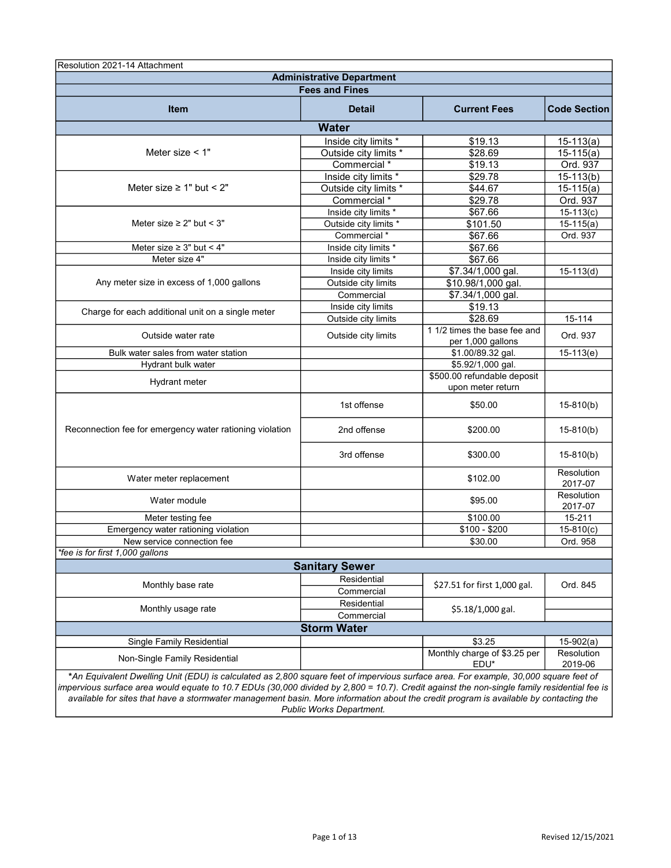| Resolution 2021-14 Attachment                                                                                                                                                                                                                                                                                                                                                                                                                            |                                  |                                                  |                       |  |
|----------------------------------------------------------------------------------------------------------------------------------------------------------------------------------------------------------------------------------------------------------------------------------------------------------------------------------------------------------------------------------------------------------------------------------------------------------|----------------------------------|--------------------------------------------------|-----------------------|--|
|                                                                                                                                                                                                                                                                                                                                                                                                                                                          | <b>Administrative Department</b> |                                                  |                       |  |
|                                                                                                                                                                                                                                                                                                                                                                                                                                                          | <b>Fees and Fines</b>            |                                                  |                       |  |
| <b>Item</b>                                                                                                                                                                                                                                                                                                                                                                                                                                              | <b>Detail</b>                    | <b>Current Fees</b>                              | <b>Code Section</b>   |  |
|                                                                                                                                                                                                                                                                                                                                                                                                                                                          | <b>Water</b>                     |                                                  |                       |  |
|                                                                                                                                                                                                                                                                                                                                                                                                                                                          | Inside city limits *             | \$19.13                                          | $15-113(a)$           |  |
| Meter size $<$ 1"                                                                                                                                                                                                                                                                                                                                                                                                                                        | Outside city limits *            | \$28.69                                          | $15-115(a)$           |  |
|                                                                                                                                                                                                                                                                                                                                                                                                                                                          | Commercial *                     | \$19.13                                          | Ord. 937              |  |
|                                                                                                                                                                                                                                                                                                                                                                                                                                                          | Inside city limits *             | \$29.78                                          | $15-113(b)$           |  |
| Meter size $\geq 1$ " but < 2"                                                                                                                                                                                                                                                                                                                                                                                                                           | Outside city limits *            | \$44.67                                          | $15-115(a)$           |  |
|                                                                                                                                                                                                                                                                                                                                                                                                                                                          | Commercial <sup>*</sup>          | \$29.78                                          | Ord. 937              |  |
|                                                                                                                                                                                                                                                                                                                                                                                                                                                          | Inside city limits *             | \$67.66                                          | $15-113(c)$           |  |
| Meter size $\geq 2$ " but < 3"                                                                                                                                                                                                                                                                                                                                                                                                                           | Outside city limits *            | \$101.50                                         | $15-115(a)$           |  |
|                                                                                                                                                                                                                                                                                                                                                                                                                                                          | Commercial <sup>*</sup>          | \$67.66                                          | Ord. 937              |  |
| Meter size $\geq 3$ " but < 4"                                                                                                                                                                                                                                                                                                                                                                                                                           | Inside city limits *             | \$67.66                                          |                       |  |
| Meter size 4"                                                                                                                                                                                                                                                                                                                                                                                                                                            | Inside city limits *             | \$67.66                                          |                       |  |
|                                                                                                                                                                                                                                                                                                                                                                                                                                                          | Inside city limits               | $\sqrt{$7.34}/1,000$ gal.                        | $15-113(d)$           |  |
| Any meter size in excess of 1,000 gallons                                                                                                                                                                                                                                                                                                                                                                                                                | Outside city limits              | \$10.98/1,000 gal.                               |                       |  |
|                                                                                                                                                                                                                                                                                                                                                                                                                                                          | Commercial                       | \$7.34/1,000 gal.                                |                       |  |
| Charge for each additional unit on a single meter                                                                                                                                                                                                                                                                                                                                                                                                        | Inside city limits               | \$19.13                                          |                       |  |
|                                                                                                                                                                                                                                                                                                                                                                                                                                                          | Outside city limits              | \$28.69                                          | 15-114                |  |
| Outside water rate                                                                                                                                                                                                                                                                                                                                                                                                                                       | Outside city limits              | 1 1/2 times the base fee and                     | Ord. 937              |  |
|                                                                                                                                                                                                                                                                                                                                                                                                                                                          |                                  | per 1,000 gallons                                |                       |  |
| Bulk water sales from water station                                                                                                                                                                                                                                                                                                                                                                                                                      |                                  | \$1.00/89.32 gal.                                | $15-113(e)$           |  |
| Hydrant bulk water                                                                                                                                                                                                                                                                                                                                                                                                                                       |                                  | \$5.92/1,000 gal.                                |                       |  |
| <b>Hydrant meter</b>                                                                                                                                                                                                                                                                                                                                                                                                                                     |                                  | \$500.00 refundable deposit<br>upon meter return |                       |  |
|                                                                                                                                                                                                                                                                                                                                                                                                                                                          | 1st offense                      | \$50.00                                          | $15-810(b)$           |  |
| Reconnection fee for emergency water rationing violation                                                                                                                                                                                                                                                                                                                                                                                                 | 2nd offense                      | \$200.00                                         | $15-810(b)$           |  |
|                                                                                                                                                                                                                                                                                                                                                                                                                                                          | 3rd offense                      | \$300.00                                         | $15-810(b)$           |  |
| Water meter replacement                                                                                                                                                                                                                                                                                                                                                                                                                                  |                                  | \$102.00                                         | Resolution<br>2017-07 |  |
| Water module                                                                                                                                                                                                                                                                                                                                                                                                                                             |                                  | \$95.00                                          | Resolution<br>2017-07 |  |
| Meter testing fee                                                                                                                                                                                                                                                                                                                                                                                                                                        |                                  | \$100.00                                         | 15-211                |  |
| Emergency water rationing violation                                                                                                                                                                                                                                                                                                                                                                                                                      |                                  | $$100 - $200$                                    | $15-810(c)$           |  |
| New service connection fee                                                                                                                                                                                                                                                                                                                                                                                                                               |                                  | \$30.00                                          | Ord. 958              |  |
| *fee is for first 1,000 gallons                                                                                                                                                                                                                                                                                                                                                                                                                          |                                  |                                                  |                       |  |
|                                                                                                                                                                                                                                                                                                                                                                                                                                                          | <b>Sanitary Sewer</b>            |                                                  |                       |  |
|                                                                                                                                                                                                                                                                                                                                                                                                                                                          | Residential                      | \$27.51 for first 1,000 gal.                     | Ord. 845              |  |
| Monthly base rate                                                                                                                                                                                                                                                                                                                                                                                                                                        | Commercial                       |                                                  |                       |  |
| Monthly usage rate                                                                                                                                                                                                                                                                                                                                                                                                                                       | Residential                      | \$5.18/1,000 gal.                                |                       |  |
|                                                                                                                                                                                                                                                                                                                                                                                                                                                          | Commercial                       |                                                  |                       |  |
|                                                                                                                                                                                                                                                                                                                                                                                                                                                          | <b>Storm Water</b>               |                                                  |                       |  |
| Single Family Residential                                                                                                                                                                                                                                                                                                                                                                                                                                |                                  | \$3.25                                           | $15-902(a)$           |  |
| Non-Single Family Residential                                                                                                                                                                                                                                                                                                                                                                                                                            |                                  | Monthly charge of \$3.25 per<br>EDU*             | Resolution<br>2019-06 |  |
| *An Equivalent Dwelling Unit (EDU) is calculated as 2,800 square feet of impervious surface area. For example, 30,000 square feet of<br>impervious surface area would equate to 10.7 EDUs (30,000 divided by 2,800 = 10.7). Credit against the non-single family residential fee is<br>available for sites that have a stormwater management basin. More information about the credit program is available by contacting the<br>Public Works Department. |                                  |                                                  |                       |  |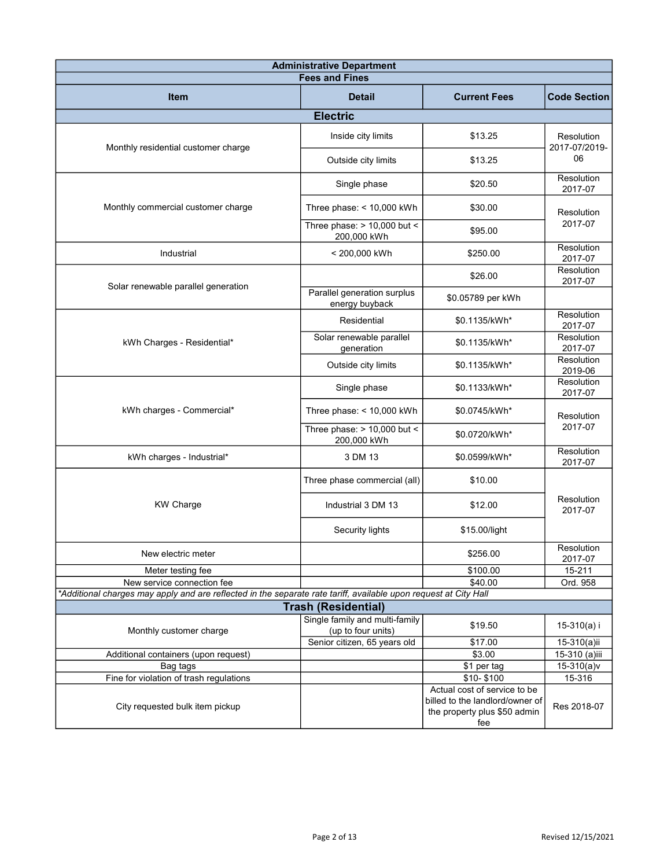| <b>Administrative Department</b><br><b>Fees and Fines</b>                                                        |                                                      |                                                                                                        |                             |  |
|------------------------------------------------------------------------------------------------------------------|------------------------------------------------------|--------------------------------------------------------------------------------------------------------|-----------------------------|--|
|                                                                                                                  |                                                      |                                                                                                        |                             |  |
| <b>Item</b>                                                                                                      | <b>Detail</b>                                        | <b>Current Fees</b>                                                                                    | <b>Code Section</b>         |  |
|                                                                                                                  | <b>Electric</b>                                      |                                                                                                        |                             |  |
| Monthly residential customer charge                                                                              | Inside city limits                                   | \$13.25                                                                                                | Resolution<br>2017-07/2019- |  |
|                                                                                                                  | Outside city limits                                  | \$13.25                                                                                                | 06                          |  |
|                                                                                                                  | Single phase                                         | \$20.50                                                                                                | Resolution<br>2017-07       |  |
| Monthly commercial customer charge                                                                               | Three phase: $<$ 10,000 kWh                          | \$30.00                                                                                                | Resolution                  |  |
|                                                                                                                  | Three phase: $> 10,000$ but <<br>200,000 kWh         | \$95.00                                                                                                | 2017-07                     |  |
| Industrial                                                                                                       | < 200,000 kWh                                        | \$250.00                                                                                               | Resolution<br>2017-07       |  |
| Solar renewable parallel generation                                                                              |                                                      | \$26.00                                                                                                | Resolution<br>2017-07       |  |
|                                                                                                                  | Parallel generation surplus<br>energy buyback        | \$0.05789 per kWh                                                                                      |                             |  |
|                                                                                                                  | Residential                                          | \$0.1135/kWh*                                                                                          | Resolution<br>2017-07       |  |
| kWh Charges - Residential*                                                                                       | Solar renewable parallel<br>generation               | \$0.1135/kWh*                                                                                          | Resolution<br>2017-07       |  |
|                                                                                                                  | Outside city limits                                  | \$0.1135/kWh*                                                                                          | Resolution<br>2019-06       |  |
|                                                                                                                  | Single phase                                         | \$0.1133/kWh*                                                                                          | Resolution<br>2017-07       |  |
| kWh charges - Commercial*                                                                                        | Three phase: $<$ 10,000 kWh                          | \$0.0745/kWh*                                                                                          | Resolution<br>2017-07       |  |
|                                                                                                                  | Three phase: $> 10,000$ but <<br>200,000 kWh         | \$0.0720/kWh*                                                                                          |                             |  |
| kWh charges - Industrial*                                                                                        | 3 DM 13                                              | \$0.0599/kWh*                                                                                          | Resolution<br>2017-07       |  |
|                                                                                                                  | Three phase commercial (all)                         | \$10.00                                                                                                |                             |  |
| <b>KW Charge</b>                                                                                                 | Industrial 3 DM 13                                   | \$12.00                                                                                                | Resolution<br>2017-07       |  |
|                                                                                                                  | Security lights                                      | \$15.00/light                                                                                          |                             |  |
| New electric meter                                                                                               |                                                      | \$256.00                                                                                               | Resolution<br>2017-07       |  |
| Meter testing fee                                                                                                |                                                      | \$100.00                                                                                               | 15-211                      |  |
| New service connection fee                                                                                       |                                                      | \$40.00                                                                                                | Ord. 958                    |  |
| *Additional charges may apply and are reflected in the separate rate tariff, available upon request at City Hall |                                                      |                                                                                                        |                             |  |
|                                                                                                                  | <b>Trash (Residential)</b>                           |                                                                                                        |                             |  |
| Monthly customer charge                                                                                          | Single family and multi-family<br>(up to four units) | \$19.50                                                                                                | 15-310(a) i                 |  |
|                                                                                                                  | Senior citizen, 65 years old                         | \$17.00                                                                                                | 15-310(a)ii                 |  |
| Additional containers (upon request)                                                                             |                                                      | \$3.00                                                                                                 | 15-310 (a)iii               |  |
| Bag tags                                                                                                         |                                                      | \$1 per tag                                                                                            | $15-310(a)v$                |  |
| Fine for violation of trash regulations                                                                          |                                                      | \$10-\$100                                                                                             | 15-316                      |  |
| City requested bulk item pickup                                                                                  |                                                      | Actual cost of service to be<br>billed to the landlord/owner of<br>the property plus \$50 admin<br>fee | Res 2018-07                 |  |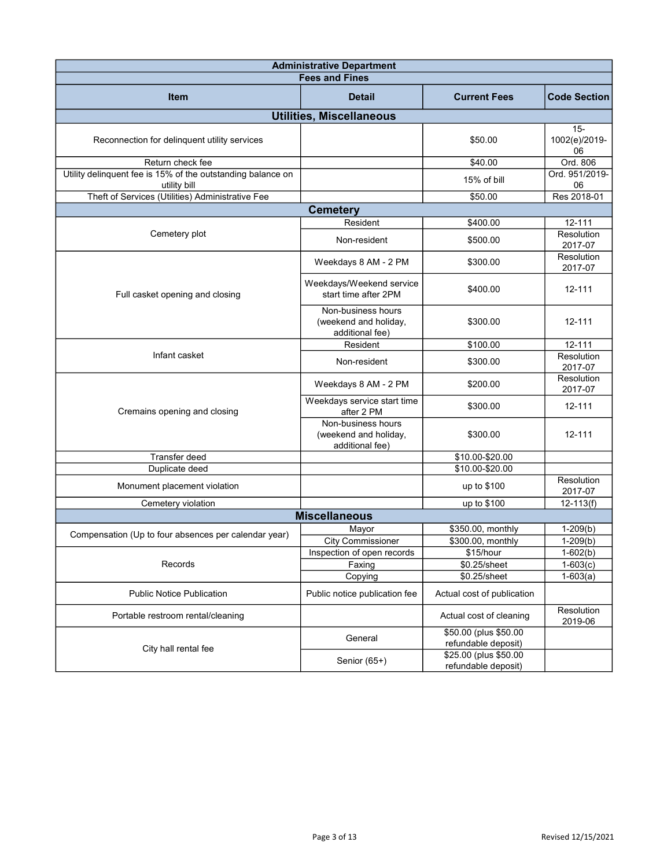| <b>Administrative Department</b>                                            |                                                                |                                              |                               |  |
|-----------------------------------------------------------------------------|----------------------------------------------------------------|----------------------------------------------|-------------------------------|--|
|                                                                             | <b>Fees and Fines</b>                                          |                                              |                               |  |
| <b>Item</b>                                                                 | <b>Detail</b>                                                  | <b>Current Fees</b>                          | <b>Code Section</b>           |  |
|                                                                             | <b>Utilities, Miscellaneous</b>                                |                                              |                               |  |
| Reconnection for delinquent utility services                                |                                                                | \$50.00                                      | $15 -$<br>1002(e)/2019-<br>06 |  |
| Return check fee                                                            |                                                                | \$40.00                                      | Ord. 806                      |  |
| Utility delinquent fee is 15% of the outstanding balance on<br>utility bill |                                                                | 15% of bill                                  | Ord. 951/2019-<br>06          |  |
| Theft of Services (Utilities) Administrative Fee                            |                                                                | \$50.00                                      | Res 2018-01                   |  |
|                                                                             | <b>Cemetery</b>                                                |                                              |                               |  |
|                                                                             | Resident                                                       | \$400.00                                     | 12-111                        |  |
| Cemetery plot                                                               | Non-resident                                                   | \$500.00                                     | Resolution<br>2017-07         |  |
|                                                                             | Weekdays 8 AM - 2 PM                                           | \$300.00                                     | Resolution<br>2017-07         |  |
| Full casket opening and closing                                             | Weekdays/Weekend service<br>start time after 2PM               | \$400.00                                     | 12-111                        |  |
|                                                                             | Non-business hours<br>(weekend and holiday,<br>additional fee) | \$300.00                                     | 12-111                        |  |
|                                                                             | Resident                                                       | \$100.00                                     | 12-111                        |  |
| Infant casket                                                               | Non-resident                                                   | \$300.00                                     | Resolution<br>2017-07         |  |
|                                                                             | Weekdays 8 AM - 2 PM                                           | \$200.00                                     | Resolution<br>2017-07         |  |
| Cremains opening and closing                                                | Weekdays service start time<br>after 2 PM                      | \$300.00                                     | 12-111                        |  |
|                                                                             | Non-business hours<br>(weekend and holiday,<br>additional fee) | \$300.00                                     | 12-111                        |  |
| Transfer deed                                                               |                                                                | \$10.00-\$20.00                              |                               |  |
| Duplicate deed                                                              |                                                                | \$10.00-\$20.00                              |                               |  |
| Monument placement violation                                                |                                                                | up to \$100                                  | Resolution<br>2017-07         |  |
| Cemetery violation                                                          |                                                                | up to \$100                                  | $12 - 113(f)$                 |  |
|                                                                             | <b>Miscellaneous</b>                                           |                                              |                               |  |
| Compensation (Up to four absences per calendar year)                        | Mayor                                                          | \$350.00, monthly                            | $1-209(b)$                    |  |
|                                                                             | <b>City Commissioner</b>                                       | \$300.00, monthly                            | $1-209(b)$                    |  |
|                                                                             | Inspection of open records                                     | \$15/hour                                    | $1-602(b)$                    |  |
| Records                                                                     | Faxing                                                         | \$0.25/sheet                                 | $1-603(c)$                    |  |
| <b>Public Notice Publication</b>                                            | Copying<br>Public notice publication fee                       | \$0.25/sheet<br>Actual cost of publication   | $1-603(a)$                    |  |
| Portable restroom rental/cleaning                                           |                                                                | Actual cost of cleaning                      | Resolution<br>2019-06         |  |
|                                                                             | General                                                        | \$50.00 (plus \$50.00<br>refundable deposit) |                               |  |
| City hall rental fee                                                        | Senior (65+)                                                   | \$25.00 (plus \$50.00<br>refundable deposit) |                               |  |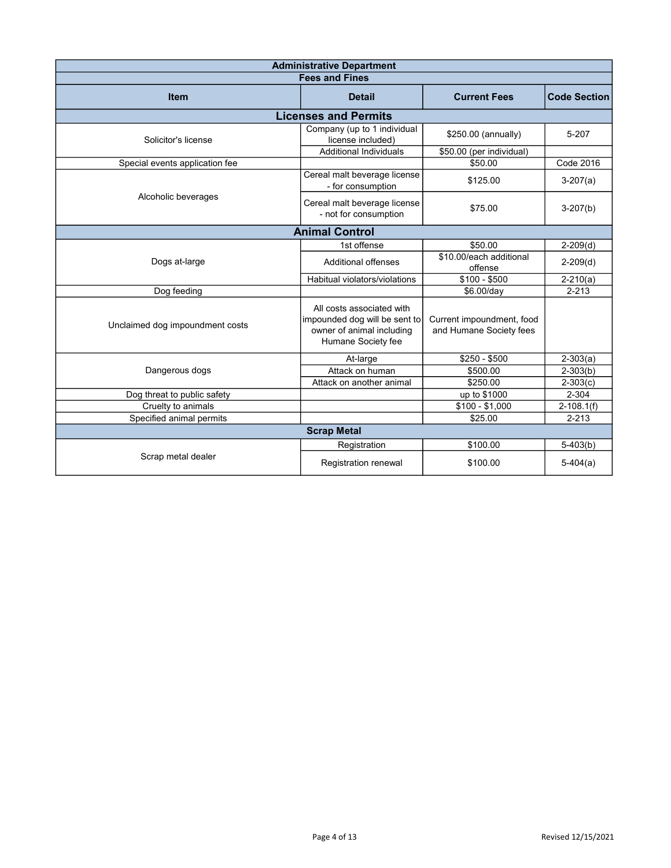| <b>Administrative Department</b> |                                                                                                               |                                                      |                     |  |
|----------------------------------|---------------------------------------------------------------------------------------------------------------|------------------------------------------------------|---------------------|--|
|                                  | <b>Fees and Fines</b>                                                                                         |                                                      |                     |  |
| <b>Item</b>                      | <b>Detail</b>                                                                                                 | <b>Current Fees</b>                                  | <b>Code Section</b> |  |
|                                  | <b>Licenses and Permits</b>                                                                                   |                                                      |                     |  |
| Solicitor's license              | Company (up to 1 individual<br>license included)                                                              | \$250.00 (annually)                                  | 5-207               |  |
|                                  | <b>Additional Individuals</b>                                                                                 | \$50.00 (per individual)                             |                     |  |
| Special events application fee   |                                                                                                               | \$50.00                                              | <b>Code 2016</b>    |  |
|                                  | Cereal malt beverage license<br>- for consumption                                                             | \$125.00                                             | $3-207(a)$          |  |
| Alcoholic beverages              | Cereal malt beverage license<br>- not for consumption                                                         | \$75.00                                              | $3-207(b)$          |  |
|                                  | <b>Animal Control</b>                                                                                         |                                                      |                     |  |
|                                  | 1st offense                                                                                                   | \$50.00                                              | $2-209(d)$          |  |
| Dogs at-large                    | <b>Additional offenses</b>                                                                                    | \$10.00/each additional<br>offense                   | $2-209(d)$          |  |
|                                  | Habitual violators/violations                                                                                 | $$100 - $500$                                        | $2 - 210(a)$        |  |
| Dog feeding                      |                                                                                                               | \$6.00/day                                           | $2 - 213$           |  |
| Unclaimed dog impoundment costs  | All costs associated with<br>impounded dog will be sent to<br>owner of animal including<br>Humane Society fee | Current impoundment, food<br>and Humane Society fees |                     |  |
|                                  | At-large                                                                                                      | $$250 - $500$                                        | $2 - 303(a)$        |  |
| Dangerous dogs                   | Attack on human                                                                                               | \$500.00                                             | $2 - 303(b)$        |  |
|                                  | Attack on another animal                                                                                      | \$250.00                                             | $2 - 303(c)$        |  |
| Dog threat to public safety      |                                                                                                               | up to \$1000                                         | 2-304               |  |
| Cruelty to animals               |                                                                                                               | $$100 - $1,000$                                      | $2 - 108.1(f)$      |  |
| Specified animal permits         |                                                                                                               | \$25.00                                              | $2 - 213$           |  |
|                                  | <b>Scrap Metal</b>                                                                                            |                                                      |                     |  |
|                                  | Registration                                                                                                  | \$100.00                                             | $5-403(b)$          |  |
| Scrap metal dealer               | Registration renewal                                                                                          | \$100.00                                             | $5-404(a)$          |  |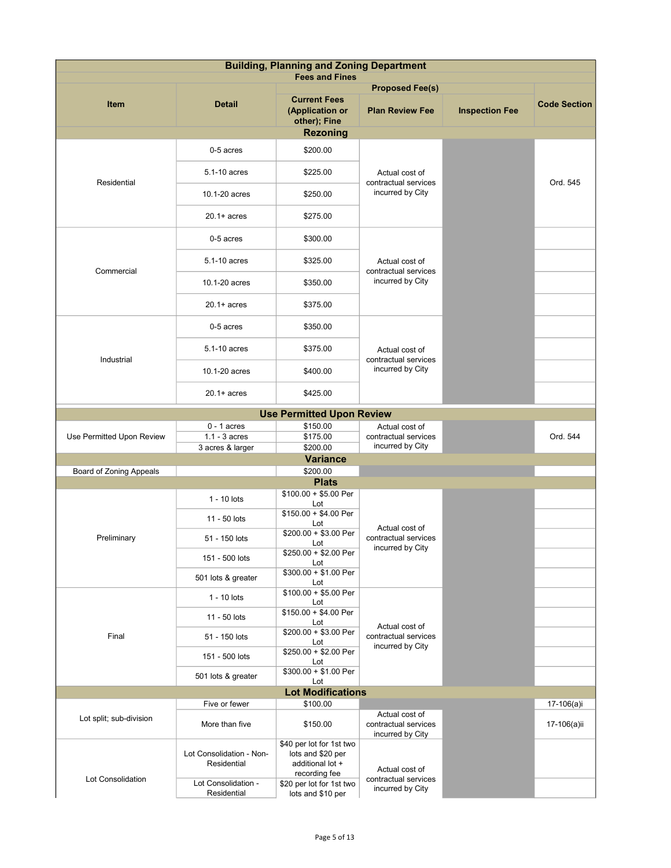| <b>Building, Planning and Zoning Department</b><br><b>Fees and Fines</b> |                                         |                                                                                    |                                                            |                       |                     |
|--------------------------------------------------------------------------|-----------------------------------------|------------------------------------------------------------------------------------|------------------------------------------------------------|-----------------------|---------------------|
|                                                                          |                                         |                                                                                    | <b>Proposed Fee(s)</b>                                     |                       |                     |
| <b>Item</b>                                                              | <b>Detail</b>                           | <b>Current Fees</b><br>(Application or<br>other); Fine                             | <b>Plan Review Fee</b>                                     | <b>Inspection Fee</b> | <b>Code Section</b> |
|                                                                          |                                         | <b>Rezoning</b>                                                                    |                                                            |                       |                     |
|                                                                          | 0-5 acres                               | \$200.00                                                                           |                                                            |                       |                     |
| Residential                                                              | 5.1-10 acres                            | \$225.00                                                                           | Actual cost of<br>contractual services                     |                       | Ord. 545            |
|                                                                          | 10.1-20 acres                           | \$250.00                                                                           | incurred by City                                           |                       |                     |
|                                                                          | $20.1 + acres$                          | \$275.00                                                                           |                                                            |                       |                     |
|                                                                          | 0-5 acres                               | \$300.00                                                                           |                                                            |                       |                     |
| Commercial                                                               | 5.1-10 acres                            | \$325.00                                                                           | Actual cost of<br>contractual services                     |                       |                     |
|                                                                          | 10.1-20 acres                           | \$350.00                                                                           | incurred by City                                           |                       |                     |
|                                                                          | $20.1 + acres$                          | \$375.00                                                                           |                                                            |                       |                     |
|                                                                          | 0-5 acres                               | \$350.00                                                                           |                                                            |                       |                     |
| Industrial                                                               | 5.1-10 acres                            | \$375.00                                                                           | Actual cost of<br>contractual services                     |                       |                     |
|                                                                          | 10.1-20 acres                           | \$400.00                                                                           | incurred by City                                           |                       |                     |
|                                                                          | $20.1 + acres$                          | \$425.00                                                                           |                                                            |                       |                     |
|                                                                          |                                         | <b>Use Permitted Upon Review</b>                                                   |                                                            |                       |                     |
|                                                                          | $0 - 1$ acres                           | \$150.00                                                                           | Actual cost of                                             |                       |                     |
| Use Permitted Upon Review                                                | $1.1 - 3$ acres                         | \$175.00                                                                           | contractual services                                       |                       | Ord. 544            |
|                                                                          | 3 acres & larger                        | \$200.00                                                                           | incurred by City                                           |                       |                     |
|                                                                          |                                         | <b>Variance</b>                                                                    |                                                            |                       |                     |
| <b>Board of Zoning Appeals</b>                                           |                                         | \$200.00<br><b>Plats</b>                                                           |                                                            |                       |                     |
|                                                                          |                                         | $$100.00 + $5.00$ Per                                                              |                                                            |                       |                     |
|                                                                          | 1 - 10 lots                             | Lot<br>$$150.00 + $4.00$ Per                                                       |                                                            |                       |                     |
|                                                                          | 11 - 50 lots                            | Lot<br>\$200.00 + \$3.00 Per                                                       | Actual cost of                                             |                       |                     |
| Preliminary                                                              | 51 - 150 lots<br>151 - 500 lots         | Lot<br>\$250.00 + \$2.00 Per                                                       | contractual services<br>incurred by City                   |                       |                     |
|                                                                          | 501 lots & greater                      | Lot<br>\$300.00 + \$1.00 Per                                                       |                                                            |                       |                     |
|                                                                          | 1 - 10 lots                             | Lot<br>$$100.00 + $5.00$ Per<br>Lot                                                |                                                            |                       |                     |
|                                                                          | 11 - 50 lots                            | $$150.00 + $4.00$ Per<br>Lot                                                       |                                                            |                       |                     |
| Final                                                                    | 51 - 150 lots                           | \$200.00 + \$3.00 Per<br>Lot                                                       | Actual cost of<br>contractual services<br>incurred by City |                       |                     |
|                                                                          | 151 - 500 lots                          | \$250.00 + \$2.00 Per<br>Lot                                                       |                                                            |                       |                     |
|                                                                          | 501 lots & greater                      | $$300.00 + $1.00$ Per<br>Lot<br><b>Lot Modifications</b>                           |                                                            |                       |                     |
|                                                                          | Five or fewer                           | \$100.00                                                                           |                                                            |                       | 17-106(a)i          |
| Lot split; sub-division                                                  | More than five                          | \$150.00                                                                           | Actual cost of<br>contractual services<br>incurred by City |                       | 17-106(a)ii         |
|                                                                          | Lot Consolidation - Non-<br>Residential | \$40 per lot for 1st two<br>lots and \$20 per<br>additional lot +<br>recording fee | Actual cost of                                             |                       |                     |
| Lot Consolidation                                                        | Lot Consolidation -<br>Residential      | \$20 per lot for 1st two<br>lots and \$10 per                                      | contractual services<br>incurred by City                   |                       |                     |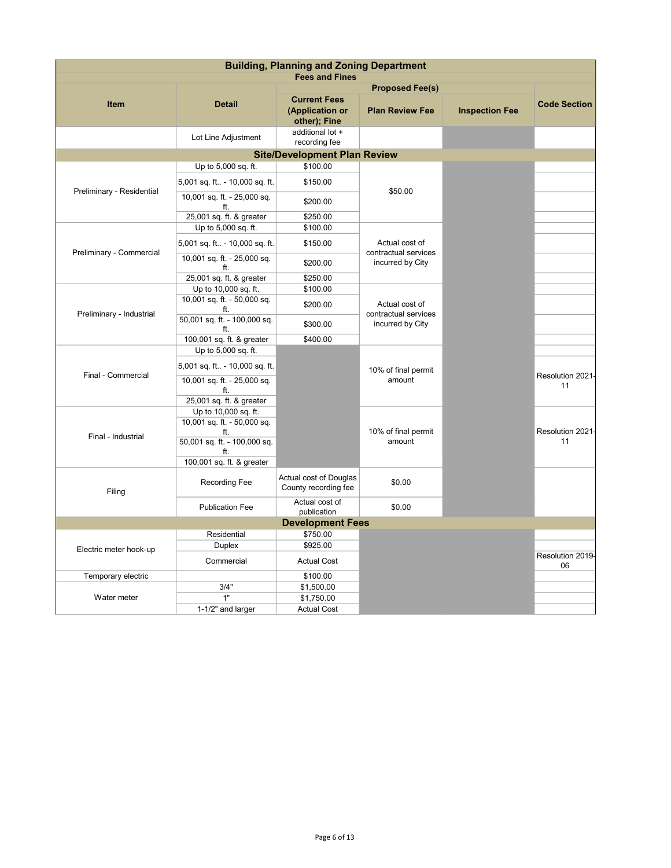|                           | <b>Building, Planning and Zoning Department</b> |                                                        |                                                            |                       |                        |
|---------------------------|-------------------------------------------------|--------------------------------------------------------|------------------------------------------------------------|-----------------------|------------------------|
|                           |                                                 | <b>Fees and Fines</b>                                  |                                                            |                       |                        |
|                           |                                                 |                                                        | <b>Proposed Fee(s)</b>                                     |                       |                        |
| <b>Item</b>               | <b>Detail</b>                                   | <b>Current Fees</b><br>(Application or<br>other); Fine | <b>Plan Review Fee</b>                                     | <b>Inspection Fee</b> | <b>Code Section</b>    |
|                           | Lot Line Adjustment                             | additional lot +<br>recording fee                      |                                                            |                       |                        |
|                           |                                                 | <b>Site/Development Plan Review</b>                    |                                                            |                       |                        |
|                           | Up to 5,000 sq. ft.                             | \$100.00                                               |                                                            |                       |                        |
| Preliminary - Residential | 5,001 sq. ft - 10,000 sq. ft.                   | \$150.00                                               | \$50.00                                                    |                       |                        |
|                           | 10,001 sq. ft. - 25,000 sq.<br>ft.              | \$200.00                                               |                                                            |                       |                        |
|                           | 25,001 sq. ft. & greater                        | \$250.00                                               |                                                            |                       |                        |
|                           | Up to 5,000 sq. ft.                             | \$100.00                                               |                                                            |                       |                        |
| Preliminary - Commercial  | 5,001 sq. ft - 10,000 sq. ft.                   | \$150.00                                               | Actual cost of<br>contractual services                     |                       |                        |
|                           | 10,001 sq. ft. - 25,000 sq.<br>ft.              | \$200.00                                               | incurred by City                                           |                       |                        |
|                           | 25,001 sq. ft. & greater                        | \$250.00                                               |                                                            |                       |                        |
|                           | Up to 10,000 sq. ft.                            | \$100.00                                               |                                                            |                       |                        |
| Preliminary - Industrial  | 10,001 sq. ft. - 50,000 sq.<br>ft.              | \$200.00                                               | Actual cost of<br>contractual services<br>incurred by City |                       |                        |
|                           | 50,001 sq. ft. - 100,000 sq.<br>ft.             | \$300.00                                               |                                                            |                       |                        |
|                           | 100,001 sq. ft. & greater                       | \$400.00                                               |                                                            |                       |                        |
|                           | Up to 5,000 sq. ft.                             |                                                        |                                                            |                       |                        |
| Final - Commercial        | 5,001 sq. ft - 10,000 sq. ft.                   |                                                        | 10% of final permit                                        |                       | Resolution 2021-       |
|                           | 10,001 sq. ft. - 25,000 sq.<br>ft.              |                                                        | amount                                                     |                       | 11                     |
|                           | 25,001 sq. ft. & greater                        |                                                        |                                                            |                       |                        |
|                           | Up to 10,000 sq. ft.                            |                                                        |                                                            |                       |                        |
|                           | 10,001 sq. ft. - 50,000 sq.<br>ft.              |                                                        | 10% of final permit                                        |                       | Resolution 2021-       |
| Final - Industrial        | 50,001 sq. ft. - 100,000 sq.<br>ft.             |                                                        | amount                                                     |                       | 11                     |
|                           | 100,001 sq. ft. & greater                       |                                                        |                                                            |                       |                        |
| Filing                    | <b>Recording Fee</b>                            | Actual cost of Douglas<br>County recording fee         | \$0.00                                                     |                       |                        |
|                           | <b>Publication Fee</b>                          | Actual cost of<br>publication                          | \$0.00                                                     |                       |                        |
|                           |                                                 | <b>Development Fees</b>                                |                                                            |                       |                        |
|                           | Residential                                     | \$750.00                                               |                                                            |                       |                        |
| Electric meter hook-up    | Duplex                                          | \$925.00                                               |                                                            |                       |                        |
|                           | Commercial                                      | <b>Actual Cost</b>                                     |                                                            |                       | Resolution 2019-<br>06 |
| Temporary electric        |                                                 | \$100.00                                               |                                                            |                       |                        |
|                           | 3/4"                                            | \$1,500.00                                             |                                                            |                       |                        |
| Water meter               | 1"                                              | \$1,750.00                                             |                                                            |                       |                        |
|                           | 1-1/2" and larger                               | <b>Actual Cost</b>                                     |                                                            |                       |                        |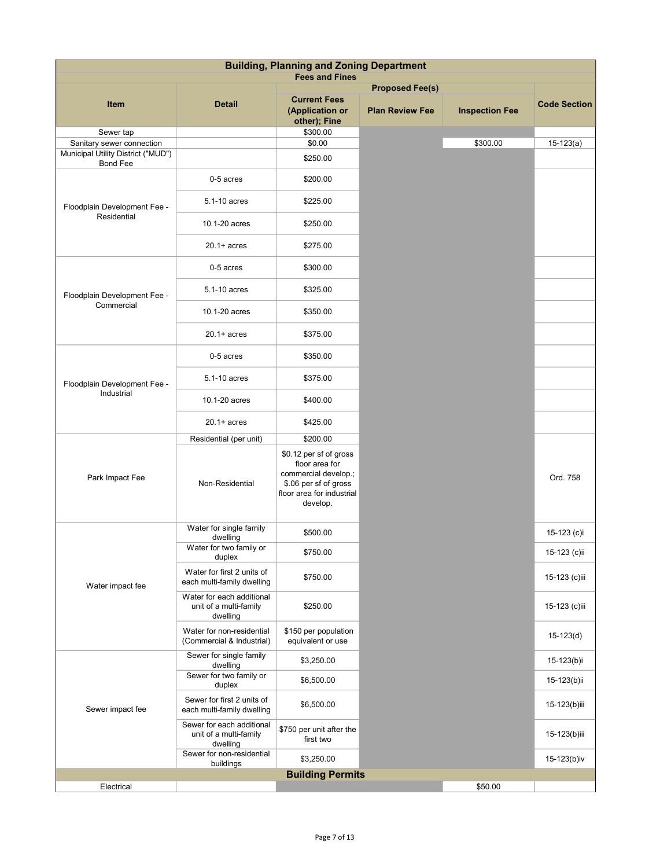|                                                                                    |                                                                 | <b>Building, Planning and Zoning Department</b><br><b>Fees and Fines</b>                                                           |                        |                       |                     |  |
|------------------------------------------------------------------------------------|-----------------------------------------------------------------|------------------------------------------------------------------------------------------------------------------------------------|------------------------|-----------------------|---------------------|--|
|                                                                                    |                                                                 |                                                                                                                                    | <b>Proposed Fee(s)</b> |                       |                     |  |
| Item                                                                               | <b>Detail</b>                                                   | <b>Current Fees</b><br>(Application or<br>other); Fine                                                                             | <b>Plan Review Fee</b> | <b>Inspection Fee</b> | <b>Code Section</b> |  |
| Sewer tap                                                                          |                                                                 | \$300.00                                                                                                                           |                        |                       |                     |  |
| Sanitary sewer connection<br>Municipal Utility District ("MUD")<br><b>Bond Fee</b> |                                                                 | \$0.00<br>\$250.00                                                                                                                 |                        | \$300.00              | $15-123(a)$         |  |
|                                                                                    | 0-5 acres                                                       | \$200.00                                                                                                                           |                        |                       |                     |  |
| Floodplain Development Fee -<br>Residential                                        | 5.1-10 acres                                                    | \$225.00                                                                                                                           |                        |                       |                     |  |
|                                                                                    | 10.1-20 acres                                                   | \$250.00                                                                                                                           |                        |                       |                     |  |
|                                                                                    | $20.1 + acres$                                                  | \$275.00                                                                                                                           |                        |                       |                     |  |
|                                                                                    | 0-5 acres                                                       | \$300.00                                                                                                                           |                        |                       |                     |  |
| Floodplain Development Fee -<br>Commercial                                         | 5.1-10 acres                                                    | \$325.00                                                                                                                           |                        |                       |                     |  |
|                                                                                    | 10.1-20 acres                                                   | \$350.00                                                                                                                           |                        |                       |                     |  |
|                                                                                    | $20.1 + acres$                                                  | \$375.00                                                                                                                           |                        |                       |                     |  |
|                                                                                    | 0-5 acres                                                       | \$350.00                                                                                                                           |                        |                       |                     |  |
| Floodplain Development Fee -<br>Industrial                                         | 5.1-10 acres                                                    | \$375.00                                                                                                                           |                        |                       |                     |  |
|                                                                                    | 10.1-20 acres                                                   | \$400.00                                                                                                                           |                        |                       |                     |  |
|                                                                                    | $20.1 + acres$                                                  | \$425.00                                                                                                                           |                        |                       |                     |  |
|                                                                                    | Residential (per unit)                                          | \$200.00                                                                                                                           |                        |                       |                     |  |
| Park Impact Fee                                                                    | Non-Residential                                                 | \$0.12 per sf of gross<br>floor area for<br>commercial develop.;<br>\$.06 per sf of gross<br>floor area for industrial<br>develop. |                        |                       | Ord. 758            |  |
|                                                                                    | Water for single family<br>dwelling                             | \$500.00                                                                                                                           |                        |                       | 15-123 (c)i         |  |
|                                                                                    | Water for two family or<br>duplex                               | \$750.00                                                                                                                           |                        |                       | 15-123 (c)ii        |  |
| Water impact fee                                                                   | Water for first 2 units of<br>each multi-family dwelling        | \$750.00                                                                                                                           |                        |                       | 15-123 (c)iii       |  |
|                                                                                    | Water for each additional<br>unit of a multi-family<br>dwelling | \$250.00                                                                                                                           |                        |                       | 15-123 (c)iii       |  |
|                                                                                    | Water for non-residential<br>(Commercial & Industrial)          | \$150 per population<br>equivalent or use                                                                                          |                        |                       | $15-123(d)$         |  |
|                                                                                    | Sewer for single family<br>dwelling                             | \$3,250.00                                                                                                                         |                        |                       | 15-123(b)i          |  |
|                                                                                    | Sewer for two family or<br>duplex                               | \$6,500.00                                                                                                                         |                        |                       | 15-123(b)ii         |  |
| Sewer impact fee                                                                   | Sewer for first 2 units of<br>each multi-family dwelling        | \$6,500.00                                                                                                                         |                        |                       | 15-123(b)iii        |  |
|                                                                                    | Sewer for each additional<br>unit of a multi-family<br>dwelling | \$750 per unit after the<br>first two                                                                                              |                        |                       | 15-123(b)iii        |  |
|                                                                                    | Sewer for non-residential<br>buildings                          | \$3,250.00                                                                                                                         |                        |                       | 15-123(b)iv         |  |
|                                                                                    |                                                                 | <b>Building Permits</b>                                                                                                            |                        |                       |                     |  |
| Electrical                                                                         |                                                                 |                                                                                                                                    |                        | \$50.00               |                     |  |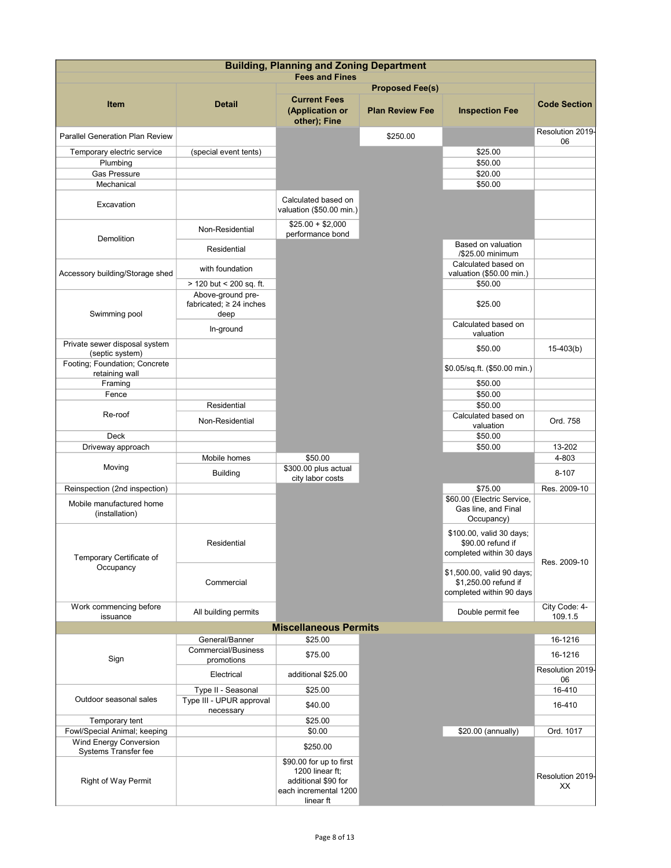|                                                        | <b>Building, Planning and Zoning Department</b> |                                                                                                         |                        |                                                                                |                          |
|--------------------------------------------------------|-------------------------------------------------|---------------------------------------------------------------------------------------------------------|------------------------|--------------------------------------------------------------------------------|--------------------------|
|                                                        |                                                 | <b>Fees and Fines</b>                                                                                   | <b>Proposed Fee(s)</b> |                                                                                |                          |
| <b>Item</b>                                            | <b>Detail</b>                                   | <b>Current Fees</b><br>(Application or<br>other); Fine                                                  | <b>Plan Review Fee</b> | <b>Inspection Fee</b>                                                          | <b>Code Section</b>      |
| Parallel Generation Plan Review                        |                                                 |                                                                                                         | \$250.00               |                                                                                | Resolution 2019-<br>06   |
| Temporary electric service                             | (special event tents)                           |                                                                                                         |                        | \$25.00                                                                        |                          |
| Plumbing                                               |                                                 |                                                                                                         |                        | \$50.00                                                                        |                          |
| <b>Gas Pressure</b><br>Mechanical                      |                                                 |                                                                                                         |                        | \$20.00<br>\$50.00                                                             |                          |
|                                                        |                                                 |                                                                                                         |                        |                                                                                |                          |
| Excavation                                             |                                                 | Calculated based on<br>valuation (\$50.00 min.)                                                         |                        |                                                                                |                          |
| Demolition                                             | Non-Residential                                 | $$25.00 + $2,000$<br>performance bond                                                                   |                        |                                                                                |                          |
|                                                        | Residential                                     |                                                                                                         |                        | Based on valuation<br>/\$25.00 minimum<br>Calculated based on                  |                          |
| Accessory building/Storage shed                        | with foundation                                 |                                                                                                         |                        | valuation (\$50.00 min.)                                                       |                          |
|                                                        | > 120 but < 200 sq. ft.                         |                                                                                                         |                        | \$50.00                                                                        |                          |
|                                                        | Above-ground pre-                               |                                                                                                         |                        |                                                                                |                          |
| Swimming pool                                          | fabricated; $\geq 24$ inches<br>deep            |                                                                                                         |                        | \$25.00                                                                        |                          |
|                                                        | In-ground                                       |                                                                                                         |                        | Calculated based on<br>valuation                                               |                          |
| Private sewer disposal system<br>(septic system)       |                                                 |                                                                                                         |                        | \$50.00                                                                        | $15-403(b)$              |
| Footing; Foundation; Concrete<br>retaining wall        |                                                 |                                                                                                         |                        | \$0.05/sq.ft. (\$50.00 min.)                                                   |                          |
| Framing                                                |                                                 |                                                                                                         |                        | \$50.00                                                                        |                          |
| Fence                                                  |                                                 |                                                                                                         |                        | \$50.00                                                                        |                          |
| Re-roof                                                | Residential                                     |                                                                                                         |                        | \$50.00<br>Calculated based on                                                 |                          |
|                                                        | Non-Residential                                 |                                                                                                         |                        | valuation                                                                      | Ord. 758                 |
| <b>Deck</b>                                            |                                                 |                                                                                                         |                        | \$50.00                                                                        |                          |
| Driveway approach                                      |                                                 |                                                                                                         |                        | \$50.00                                                                        | 13-202                   |
| Moving                                                 | Mobile homes<br>Building                        | \$50.00<br>\$300.00 plus actual                                                                         |                        |                                                                                | 4-803<br>8-107           |
| Reinspection (2nd inspection)                          |                                                 | city labor costs                                                                                        |                        | \$75.00                                                                        | Res. 2009-10             |
| Mobile manufactured home<br>(installation)             |                                                 |                                                                                                         |                        | \$60.00 (Electric Service,<br>Gas line, and Final<br>Occupancy)                |                          |
| Temporary Certificate of                               | Residential                                     |                                                                                                         |                        | \$100.00, valid 30 days;<br>\$90.00 refund if<br>completed within 30 days      | Res. 2009-10             |
| Occupancy                                              | Commercial                                      |                                                                                                         |                        | \$1,500.00, valid 90 days;<br>\$1,250.00 refund if<br>completed within 90 days |                          |
| Work commencing before<br>issuance                     | All building permits                            |                                                                                                         |                        | Double permit fee                                                              | City Code: 4-<br>109.1.5 |
|                                                        |                                                 | <b>Miscellaneous Permits</b>                                                                            |                        |                                                                                |                          |
|                                                        | General/Banner                                  | \$25.00                                                                                                 |                        |                                                                                | 16-1216                  |
| Sign                                                   | <b>Commercial/Business</b><br>promotions        | \$75.00                                                                                                 |                        |                                                                                | 16-1216                  |
|                                                        | Electrical                                      | additional \$25.00                                                                                      |                        |                                                                                | Resolution 2019-<br>06   |
|                                                        | Type II - Seasonal                              | \$25.00                                                                                                 |                        |                                                                                | 16-410                   |
| Outdoor seasonal sales                                 | Type III - UPUR approval<br>necessary           | \$40.00                                                                                                 |                        |                                                                                | 16-410                   |
| Temporary tent                                         |                                                 | \$25.00                                                                                                 |                        |                                                                                |                          |
| Fowl/Special Animal; keeping<br>Wind Energy Conversion |                                                 | \$0.00                                                                                                  |                        | \$20.00 (annually)                                                             | Ord. 1017                |
| Systems Transfer fee                                   |                                                 | \$250.00                                                                                                |                        |                                                                                |                          |
| Right of Way Permit                                    |                                                 | \$90.00 for up to first<br>1200 linear ft;<br>additional \$90 for<br>each incremental 1200<br>linear ft |                        |                                                                                | Resolution 2019-<br>ХX   |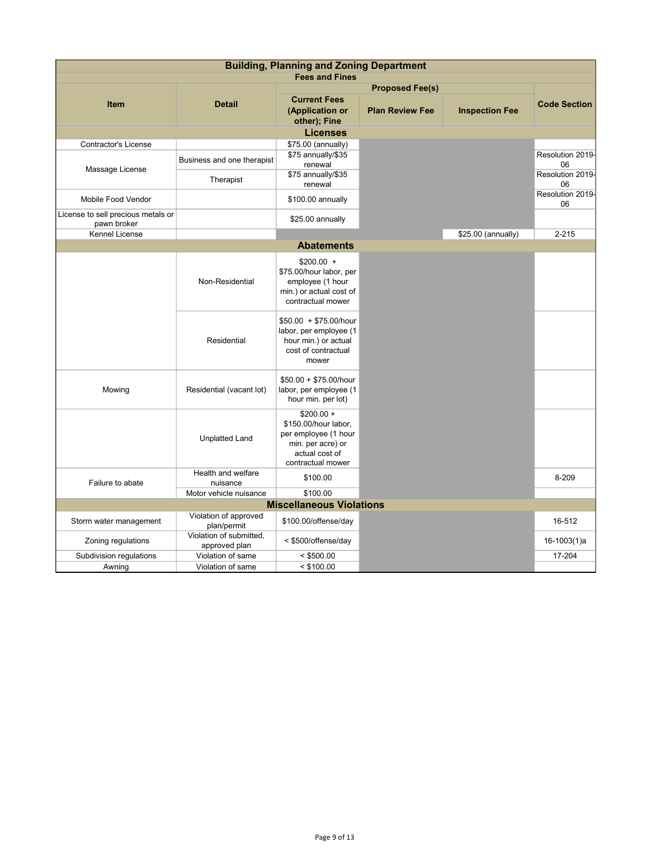| <b>Building, Planning and Zoning Department</b>   |                                          |                                                                                                                         |                        |                       |                        |
|---------------------------------------------------|------------------------------------------|-------------------------------------------------------------------------------------------------------------------------|------------------------|-----------------------|------------------------|
|                                                   |                                          | <b>Fees and Fines</b>                                                                                                   |                        |                       |                        |
|                                                   |                                          |                                                                                                                         | <b>Proposed Fee(s)</b> |                       |                        |
| <b>Item</b>                                       | <b>Detail</b>                            | <b>Current Fees</b><br>(Application or<br>other); Fine                                                                  | <b>Plan Review Fee</b> | <b>Inspection Fee</b> | <b>Code Section</b>    |
|                                                   |                                          | <b>Licenses</b>                                                                                                         |                        |                       |                        |
| Contractor's License                              |                                          | \$75.00 (annually)                                                                                                      |                        |                       |                        |
| Massage License                                   | Business and one therapist               | \$75 annually/\$35<br>renewal                                                                                           |                        |                       | Resolution 2019-<br>06 |
|                                                   | Therapist                                | \$75 annually/\$35<br>renewal                                                                                           |                        |                       | Resolution 2019-<br>06 |
| Mobile Food Vendor                                |                                          | \$100.00 annually                                                                                                       |                        |                       | Resolution 2019-<br>06 |
| License to sell precious metals or<br>pawn broker |                                          | \$25.00 annually                                                                                                        |                        |                       |                        |
| <b>Kennel License</b>                             |                                          |                                                                                                                         |                        | \$25.00 (annually)    | $2 - 215$              |
|                                                   |                                          | <b>Abatements</b>                                                                                                       |                        |                       |                        |
|                                                   | Non-Residential                          | $$200.00 +$<br>\$75.00/hour labor, per<br>employee (1 hour<br>min.) or actual cost of<br>contractual mower              |                        |                       |                        |
|                                                   | Residential                              | $$50.00 + $75.00/h$ our<br>labor, per employee (1<br>hour min.) or actual<br>cost of contractual<br>mower               |                        |                       |                        |
| Mowing                                            | Residential (vacant lot)                 | $$50.00 + $75.00/h$ our<br>labor, per employee (1<br>hour min. per lot)                                                 |                        |                       |                        |
|                                                   | <b>Unplatted Land</b>                    | $$200.00 +$<br>\$150.00/hour labor,<br>per employee (1 hour<br>min. per acre) or<br>actual cost of<br>contractual mower |                        |                       |                        |
| Failure to abate                                  | Health and welfare<br>nuisance           | \$100.00                                                                                                                |                        |                       | 8-209                  |
|                                                   | Motor vehicle nuisance                   | \$100.00                                                                                                                |                        |                       |                        |
|                                                   |                                          | <b>Miscellaneous Violations</b>                                                                                         |                        |                       |                        |
| Storm water management                            | Violation of approved<br>plan/permit     | \$100.00/offense/day                                                                                                    |                        |                       | 16-512                 |
| Zoning regulations                                | Violation of submitted,<br>approved plan | < \$500/offense/day                                                                                                     |                        |                       | 16-1003(1)a            |
| Subdivision regulations                           | Violation of same                        | $<$ \$500.00                                                                                                            |                        |                       | 17-204                 |
| Awning                                            | Violation of same                        | $<$ \$100.00                                                                                                            |                        |                       |                        |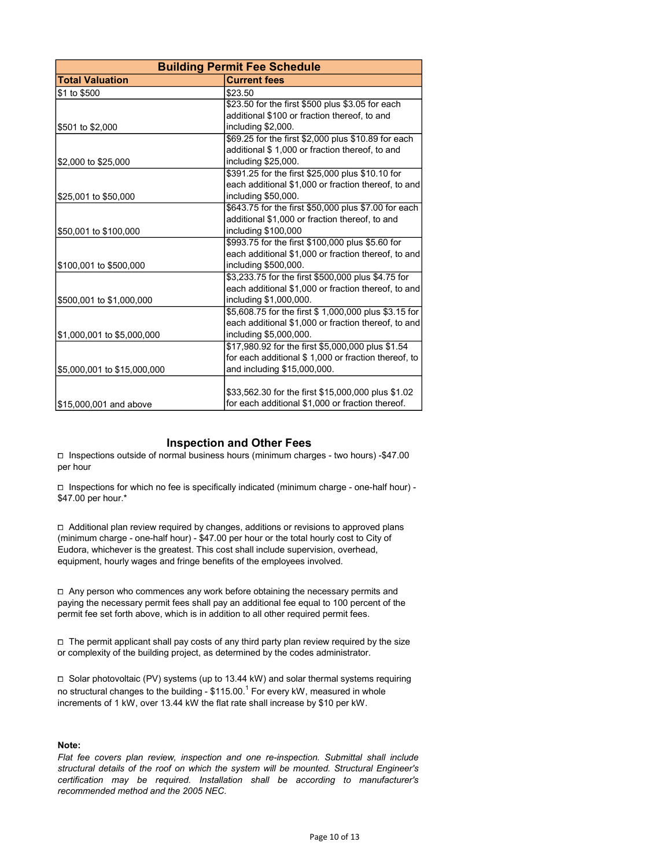|                             | <b>Building Permit Fee Schedule</b>                   |
|-----------------------------|-------------------------------------------------------|
| <b>Total Valuation</b>      | <b>Current fees</b>                                   |
| \$1 to \$500                | \$23.50                                               |
|                             | \$23.50 for the first \$500 plus \$3.05 for each      |
|                             | additional \$100 or fraction thereof, to and          |
| \$501 to \$2,000            | including \$2,000.                                    |
|                             | \$69.25 for the first \$2,000 plus \$10.89 for each   |
|                             | additional \$1,000 or fraction thereof, to and        |
| \$2,000 to \$25,000         | including \$25,000.                                   |
|                             | \$391.25 for the first \$25,000 plus \$10.10 for      |
|                             | each additional \$1,000 or fraction thereof, to and   |
| \$25,001 to \$50,000        | including \$50,000.                                   |
|                             | \$643.75 for the first \$50,000 plus \$7.00 for each  |
|                             | additional \$1,000 or fraction thereof, to and        |
| \$50,001 to \$100,000       | including \$100,000                                   |
|                             | \$993.75 for the first \$100,000 plus \$5.60 for      |
|                             | each additional \$1,000 or fraction thereof, to and   |
| \$100,001 to \$500,000      | including \$500,000.                                  |
|                             | \$3,233.75 for the first \$500,000 plus \$4.75 for    |
|                             | each additional \$1,000 or fraction thereof, to and   |
| \$500,001 to \$1,000,000    | including \$1,000,000.                                |
|                             | \$5,608.75 for the first \$ 1,000,000 plus \$3.15 for |
|                             | each additional \$1,000 or fraction thereof, to and   |
| \$1,000,001 to \$5,000,000  | including \$5,000,000.                                |
|                             | \$17,980.92 for the first \$5,000,000 plus \$1.54     |
|                             | for each additional \$1,000 or fraction thereof, to   |
| \$5,000,001 to \$15,000,000 | and including \$15,000,000.                           |
|                             |                                                       |
|                             | \$33,562.30 for the first \$15,000,000 plus \$1.02    |
| \$15,000,001 and above      | for each additional \$1,000 or fraction thereof.      |

## Inspection and Other Fees

⧠ Inspections outside of normal business hours (minimum charges - two hours) -\$47.00 per hour

 $\Box$  Inspections for which no fee is specifically indicated (minimum charge - one-half hour) -\$47.00 per hour.\*

□ Additional plan review required by changes, additions or revisions to approved plans (minimum charge - one-half hour) - \$47.00 per hour or the total hourly cost to City of Eudora, whichever is the greatest. This cost shall include supervision, overhead, equipment, hourly wages and fringe benefits of the employees involved.

□ Any person who commences any work before obtaining the necessary permits and paying the necessary permit fees shall pay an additional fee equal to 100 percent of the permit fee set forth above, which is in addition to all other required permit fees.

□ The permit applicant shall pay costs of any third party plan review required by the size or complexity of the building project, as determined by the codes administrator.

 $\square$  Solar photovoltaic (PV) systems (up to 13.44 kW) and solar thermal systems requiring no structural changes to the building -  $$115.00.^{\rm 1}$  For every kW, measured in whole increments of 1 kW, over 13.44 kW the flat rate shall increase by \$10 per kW.

## Note:

Flat fee covers plan review, inspection and one re-inspection. Submittal shall include structural details of the roof on which the system will be mounted. Structural Engineer's certification may be required. Installation shall be according to manufacturer's recommended method and the 2005 NEC.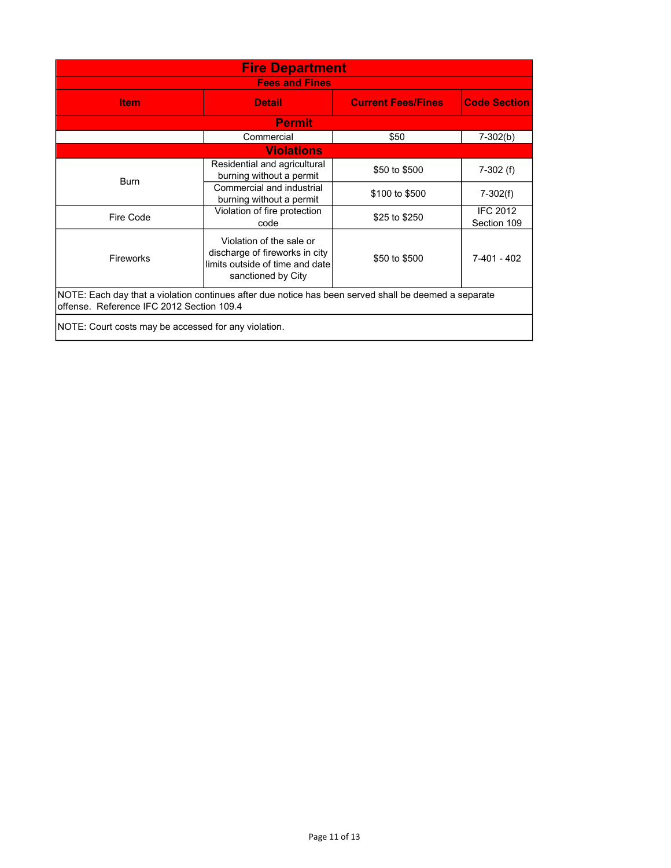| <b>Fire Department</b>                                                                                                                                           |                                                          |                           |                                |  |  |
|------------------------------------------------------------------------------------------------------------------------------------------------------------------|----------------------------------------------------------|---------------------------|--------------------------------|--|--|
| <b>Fees and Fines</b>                                                                                                                                            |                                                          |                           |                                |  |  |
| <b>Item</b>                                                                                                                                                      | <b>Detail</b>                                            | <b>Current Fees/Fines</b> | <b>Code Section</b>            |  |  |
| <b>Permit</b>                                                                                                                                                    |                                                          |                           |                                |  |  |
|                                                                                                                                                                  | Commercial                                               | \$50                      | $7-302(b)$                     |  |  |
|                                                                                                                                                                  | <b>Violations</b>                                        |                           |                                |  |  |
| <b>Burn</b>                                                                                                                                                      | Residential and agricultural<br>burning without a permit | \$50 to \$500             | $7-302$ (f)                    |  |  |
|                                                                                                                                                                  | Commercial and industrial<br>burning without a permit    | \$100 to \$500            | $7-302(f)$                     |  |  |
| Fire Code                                                                                                                                                        | Violation of fire protection<br>code                     | \$25 to \$250             | <b>IFC 2012</b><br>Section 109 |  |  |
| Violation of the sale or<br>discharge of fireworks in city<br>Fireworks<br>7-401 - 402<br>\$50 to \$500<br>limits outside of time and date<br>sanctioned by City |                                                          |                           |                                |  |  |
| NOTE: Each day that a violation continues after due notice has been served shall be deemed a separate<br>offense. Reference IFC 2012 Section 109.4               |                                                          |                           |                                |  |  |
|                                                                                                                                                                  | NOTE: Court costs may be accessed for any violation.     |                           |                                |  |  |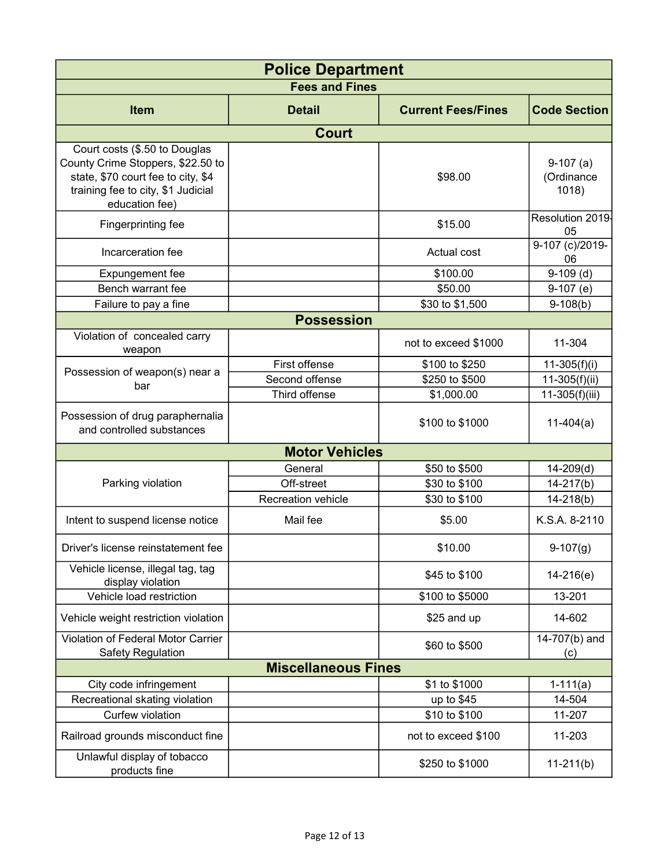| <b>Police Department</b>                                                                                                                                         |                            |                           |                                   |  |
|------------------------------------------------------------------------------------------------------------------------------------------------------------------|----------------------------|---------------------------|-----------------------------------|--|
|                                                                                                                                                                  | <b>Fees and Fines</b>      |                           |                                   |  |
| <b>Item</b>                                                                                                                                                      | <b>Detail</b>              | <b>Current Fees/Fines</b> | <b>Code Section</b>               |  |
|                                                                                                                                                                  | <b>Court</b>               |                           |                                   |  |
| Court costs (\$.50 to Douglas<br>County Crime Stoppers, \$22.50 to<br>state, \$70 court fee to city, \$4<br>training fee to city, \$1 Judicial<br>education fee) |                            | \$98.00                   | $9-107(a)$<br>(Ordinance<br>1018) |  |
| Fingerprinting fee                                                                                                                                               |                            | \$15.00                   | Resolution 2019-<br>05            |  |
| Incarceration fee                                                                                                                                                |                            | Actual cost               | 9-107 (c)/2019-<br>06             |  |
| Expungement fee                                                                                                                                                  |                            | \$100.00                  | $9-109$ (d)                       |  |
| Bench warrant fee                                                                                                                                                |                            | \$50.00                   | $9-107$ (e)                       |  |
| Failure to pay a fine                                                                                                                                            |                            | \$30 to \$1,500           | $9-108(b)$                        |  |
|                                                                                                                                                                  | <b>Possession</b>          |                           |                                   |  |
| Violation of concealed carry<br>weapon                                                                                                                           |                            | not to exceed \$1000      | 11-304                            |  |
| Possession of weapon(s) near a                                                                                                                                   | First offense              | \$100 to \$250            | $11-305(f)(i)$                    |  |
| bar                                                                                                                                                              | Second offense             | \$250 to \$500            | $11-305(f)(ii)$                   |  |
|                                                                                                                                                                  | Third offense              | \$1,000.00                | 11-305(f)(iii)                    |  |
| Possession of drug paraphernalia<br>and controlled substances                                                                                                    |                            | \$100 to \$1000           | $11-404(a)$                       |  |
|                                                                                                                                                                  | <b>Motor Vehicles</b>      |                           |                                   |  |
|                                                                                                                                                                  | General                    | \$50 to \$500             | $14 - 209(d)$                     |  |
| Parking violation                                                                                                                                                | Off-street                 | \$30 to \$100             | $14 - 217(b)$                     |  |
|                                                                                                                                                                  | Recreation vehicle         | \$30 to \$100             | $14 - 218(b)$                     |  |
| Intent to suspend license notice                                                                                                                                 | Mail fee                   | \$5.00                    | K.S.A. 8-2110                     |  |
| Driver's license reinstatement fee                                                                                                                               |                            | \$10.00                   | $9-107(g)$                        |  |
| Vehicle license, illegal tag, tag<br>display violation                                                                                                           |                            | \$45 to \$100             | $14-216(e)$                       |  |
| Vehicle load restriction                                                                                                                                         |                            | \$100 to \$5000           | 13-201                            |  |
| Vehicle weight restriction violation                                                                                                                             |                            | \$25 and up               | 14-602                            |  |
| Violation of Federal Motor Carrier<br><b>Safety Regulation</b>                                                                                                   |                            | \$60 to \$500             | 14-707(b) and<br>(c)              |  |
|                                                                                                                                                                  | <b>Miscellaneous Fines</b> |                           |                                   |  |
| City code infringement                                                                                                                                           |                            | \$1 to \$1000             | $1-111(a)$                        |  |
| Recreational skating violation                                                                                                                                   |                            | up to $$45$               | 14-504                            |  |
| Curfew violation                                                                                                                                                 |                            | \$10 to \$100             | 11-207                            |  |
| Railroad grounds misconduct fine                                                                                                                                 |                            | not to exceed \$100       | 11-203                            |  |
| Unlawful display of tobacco<br>products fine                                                                                                                     |                            | \$250 to \$1000           | $11-211(b)$                       |  |